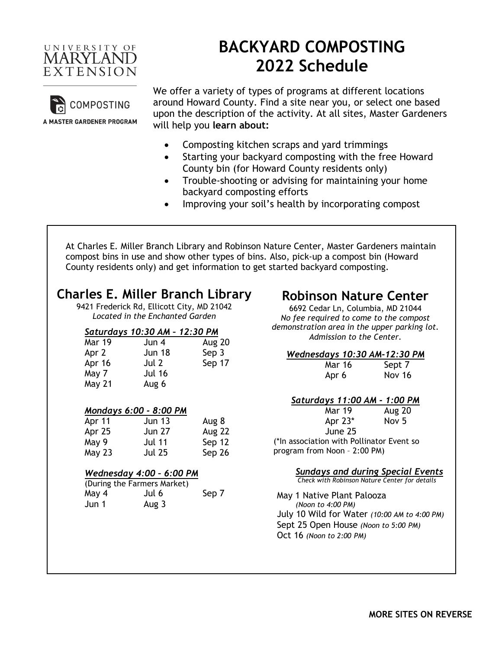

# **BACKYARD COMPOSTING 2022 Schedule**



We offer a variety of types of programs at different locations around Howard County. Find a site near you, or select one based upon the description of the activity. At all sites, Master Gardeners will help you **learn about:**

- Composting kitchen scraps and yard trimmings
- Starting your backyard composting with the free Howard County bin (for Howard County residents only)
- Trouble-shooting or advising for maintaining your home backyard composting efforts
- Improving your soil's health by incorporating compost

At Charles E. Miller Branch Library and Robinson Nature Center, Master Gardeners maintain compost bins in use and show other types of bins. Also, pick-up a compost bin (Howard County residents only) and get information to get started backyard composting.

# **Charles E. Miller Branch Library**

9421 Frederick Rd, Ellicott City, MD 21042 *Located in the Enchanted Garden*

### *Saturdays 10:30 AM – 12:30 PM*

| <b>Mar 19</b> | Jun 4         | <b>Aug 20</b> |
|---------------|---------------|---------------|
| Apr 2         | <b>Jun 18</b> | Sep 3         |
| Apr 16        | Jul 2         | Sep 17        |
| May 7         | <b>Jul 16</b> |               |
| May 21        | Aug 6         |               |

### *Mondays 6:00 - 8:00 PM*

| Apr 11 | <b>Jun 13</b> | Aug 8         |
|--------|---------------|---------------|
| Apr 25 | <b>Jun 27</b> | <b>Aug 22</b> |
| May 9  | <b>Jul 11</b> | Sep 12        |
| May 23 | <b>Jul 25</b> | Sep 26        |

### *Wednesday 4:00 – 6:00 PM*

|       | (During the Farmers Market) |       |
|-------|-----------------------------|-------|
| May 4 | Jul 6                       | Sep 7 |
| Jun 1 | Aug 3                       |       |

# **Robinson Nature Center**

6692 Cedar Ln, Columbia, MD 21044 *No fee required to come to the compost demonstration area in the upper parking lot. Admission to the Center.*

| <b>Wednesdays 10:30 AM-12:30 PM</b>       |                  |  |
|-------------------------------------------|------------------|--|
| <b>Mar 16</b>                             | Sept 7           |  |
| Apr 6                                     | Nov 16           |  |
|                                           |                  |  |
| Saturdays 11:00 AM - 1:00 PM              |                  |  |
| <b>Mar 19</b>                             | <b>Aug 20</b>    |  |
| Apr $23*$                                 | Nov <sub>5</sub> |  |
| June 25                                   |                  |  |
| (*In association with Pollinator Event so |                  |  |
| program from Noon - 2:00 PM)              |                  |  |

### *Sundays and during Special Events*

 *Check with Robinson Nature Center for details*

 May 1 Native Plant Palooza *(Noon to 4:00 PM)* July 10 Wild for Water *(10:00 AM to 4:00 PM)* Sept 25 Open House *(Noon to 5:00 PM)* Oct 16 *(Noon to 2:00 PM)*